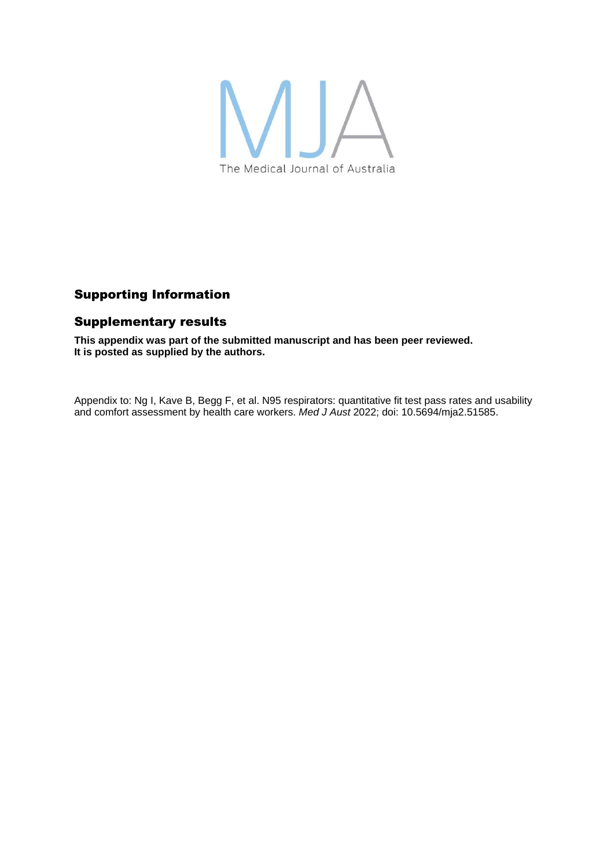

# Supporting Information

## Supplementary results

**This appendix was part of the submitted manuscript and has been peer reviewed. It is posted as supplied by the authors.**

Appendix to: Ng I, Kave B, Begg F, et al. N95 respirators: quantitative fit test pass rates and usability and comfort assessment by health care workers. *Med J Aust* 2022; doi: 10.5694/mja2.51585.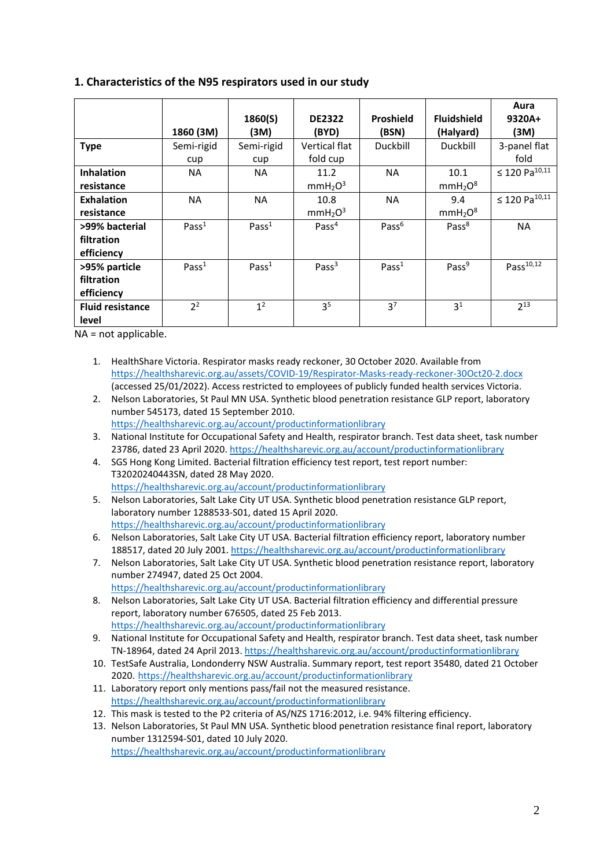## **1. Characteristics of the N95 respirators used in our study**

|                         |                   |                   |                                 |                   |                                 | Aura                      |
|-------------------------|-------------------|-------------------|---------------------------------|-------------------|---------------------------------|---------------------------|
|                         |                   | 1860(S)           | <b>DE2322</b>                   | <b>Proshield</b>  | <b>Fluidshield</b>              | 9320A+                    |
|                         | 1860 (3M)         | (3M)              | (BYD)                           | (BSN)             | (Halyard)                       | (3M)                      |
| <b>Type</b>             | Semi-rigid        | Semi-rigid        | Vertical flat                   | Duckbill          | Duckbill                        | 3-panel flat              |
|                         | cup               | cup               | fold cup                        |                   |                                 | fold                      |
| <b>Inhalation</b>       | ΝA                | NA.               | 11.2                            | <b>NA</b>         | 10.1                            | ≤ 120 Pa $^{10,11}$       |
| resistance              |                   |                   | mmH <sub>2</sub> O <sup>3</sup> |                   | mmH <sub>2</sub> O <sup>8</sup> |                           |
| <b>Exhalation</b>       | <b>NA</b>         | <b>NA</b>         | 10.8                            | <b>NA</b>         | 9.4                             | ≤ 120 Pa <sup>10,11</sup> |
| resistance              |                   |                   | mmH <sub>2</sub> O <sup>3</sup> |                   | mmH <sub>2</sub> O <sup>8</sup> |                           |
| >99% bacterial          | Pass <sup>1</sup> | Pass <sup>1</sup> | Pass <sup>4</sup>               | Pass <sup>6</sup> | Pass <sup>8</sup>               | <b>NA</b>                 |
| filtration              |                   |                   |                                 |                   |                                 |                           |
| efficiency              |                   |                   |                                 |                   |                                 |                           |
| >95% particle           | Pass <sup>1</sup> | Pass <sup>1</sup> | Pass $3$                        | Pass <sup>1</sup> | Pass <sup>9</sup>               | Pass $^{10,12}$           |
| filtration              |                   |                   |                                 |                   |                                 |                           |
| efficiency              |                   |                   |                                 |                   |                                 |                           |
| <b>Fluid resistance</b> | 2 <sup>2</sup>    | 1 <sup>2</sup>    | 3 <sup>5</sup>                  | 3 <sup>7</sup>    | 3 <sup>1</sup>                  | $2^{13}$                  |
| level                   |                   |                   |                                 |                   |                                 |                           |

NA = not applicable.

- 1. HealthShare Victoria. Respirator masks ready reckoner, 30 October 2020. Available from <https://healthsharevic.org.au/assets/COVID-19/Respirator-Masks-ready-reckoner-30Oct20-2.docx> (accessed 25/01/2022). Access restricted to employees of publicly funded health services Victoria.
- 2. Nelson Laboratories, St Paul MN USA. Synthetic blood penetration resistance GLP report, laboratory number 545173, dated 15 September 2010. <https://healthsharevic.org.au/account/productinformationlibrary>
- 3. National Institute for Occupational Safety and Health, respirator branch. Test data sheet, task number 23786, dated 23 April 2020. <https://healthsharevic.org.au/account/productinformationlibrary>
- 4. SGS Hong Kong Limited. Bacterial filtration efficiency test report, test report number: T32020240443SN, dated 28 May 2020. <https://healthsharevic.org.au/account/productinformationlibrary>
- 5. Nelson Laboratories, Salt Lake City UT USA. Synthetic blood penetration resistance GLP report, laboratory number 1288533-S01, dated 15 April 2020. <https://healthsharevic.org.au/account/productinformationlibrary>
- 6. Nelson Laboratories, Salt Lake City UT USA. Bacterial filtration efficiency report, laboratory number 188517, dated 20 July 2001. <https://healthsharevic.org.au/account/productinformationlibrary>
- 7. Nelson Laboratories, Salt Lake City UT USA. Synthetic blood penetration resistance report, laboratory number 274947, dated 25 Oct 2004. <https://healthsharevic.org.au/account/productinformationlibrary>
- 8. Nelson Laboratories, Salt Lake City UT USA. Bacterial filtration efficiency and differential pressure report, laboratory number 676505, dated 25 Feb 2013. <https://healthsharevic.org.au/account/productinformationlibrary>
- 9. National Institute for Occupational Safety and Health, respirator branch. Test data sheet, task number TN-18964, dated 24 April 2013. <https://healthsharevic.org.au/account/productinformationlibrary>
- 10. TestSafe Australia, Londonderry NSW Australia. Summary report, test report 35480, dated 21 October 2020. <https://healthsharevic.org.au/account/productinformationlibrary>
- 11. Laboratory report only mentions pass/fail not the measured resistance. <https://healthsharevic.org.au/account/productinformationlibrary>
- 12. This mask is tested to the P2 criteria of AS/NZS 1716:2012, i.e. 94% filtering efficiency.
- 13. Nelson Laboratories, St Paul MN USA. Synthetic blood penetration resistance final report, laboratory number 1312594-S01, dated 10 July 2020. <https://healthsharevic.org.au/account/productinformationlibrary>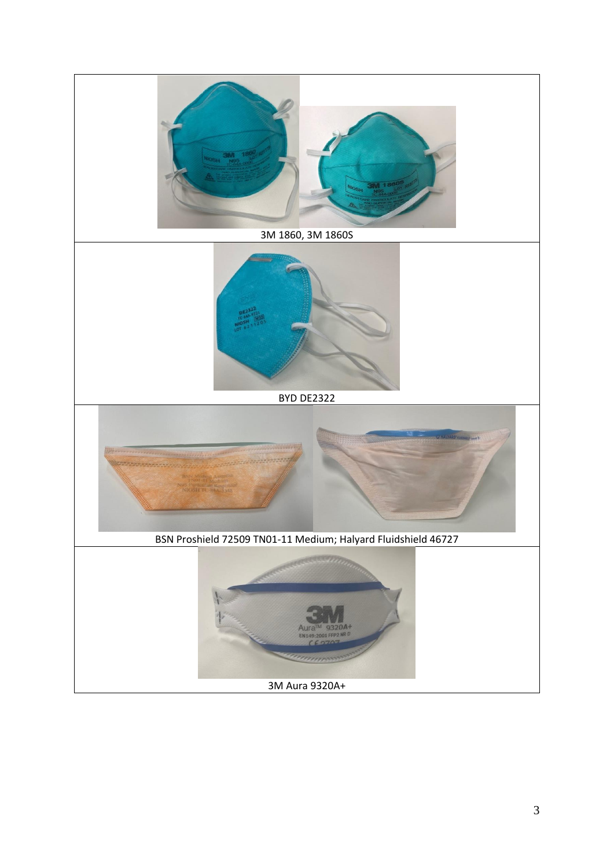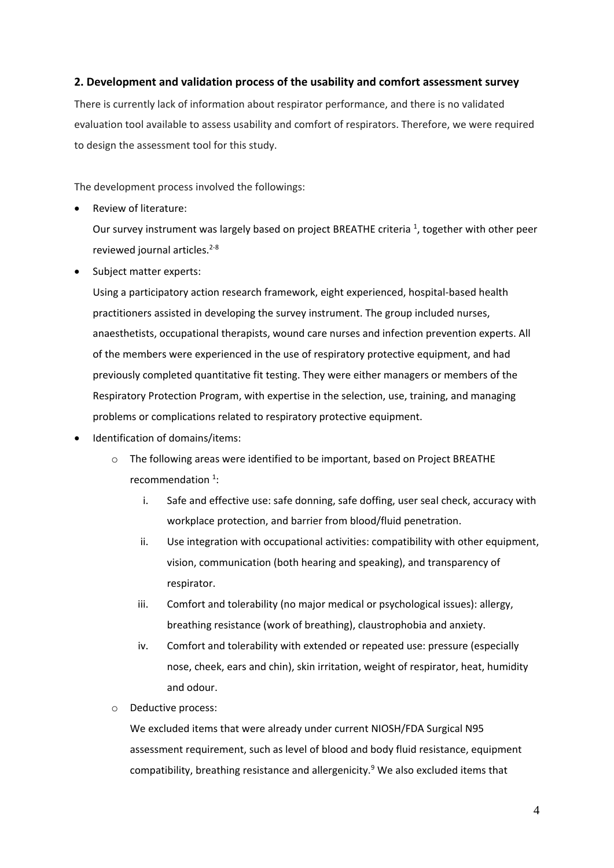## **2. Development and validation process of the usability and comfort assessment survey**

There is currently lack of information about respirator performance, and there is no validated evaluation tool available to assess usability and comfort of respirators. Therefore, we were required to design the assessment tool for this study.

The development process involved the followings:

Review of literature:

Our survey instrument was largely based on project BREATHE criteria  $^1$ , together with other peer reviewed journal articles.<sup>2-8</sup>

Subject matter experts:

Using a participatory action research framework, eight experienced, hospital-based health practitioners assisted in developing the survey instrument. The group included nurses, anaesthetists, occupational therapists, wound care nurses and infection prevention experts. All of the members were experienced in the use of respiratory protective equipment, and had previously completed quantitative fit testing. They were either managers or members of the Respiratory Protection Program, with expertise in the selection, use, training, and managing problems or complications related to respiratory protective equipment.

- Identification of domains/items:
	- o The following areas were identified to be important, based on Project BREATHE recommendation  $1$ :
		- i. Safe and effective use: safe donning, safe doffing, user seal check, accuracy with workplace protection, and barrier from blood/fluid penetration.
		- ii. Use integration with occupational activities: compatibility with other equipment, vision, communication (both hearing and speaking), and transparency of respirator.
		- iii. Comfort and tolerability (no major medical or psychological issues): allergy, breathing resistance (work of breathing), claustrophobia and anxiety.
		- iv. Comfort and tolerability with extended or repeated use: pressure (especially nose, cheek, ears and chin), skin irritation, weight of respirator, heat, humidity and odour.
	- o Deductive process:

We excluded items that were already under current NIOSH/FDA Surgical N95 assessment requirement, such as level of blood and body fluid resistance, equipment compatibility, breathing resistance and allergenicity.<sup>9</sup> We also excluded items that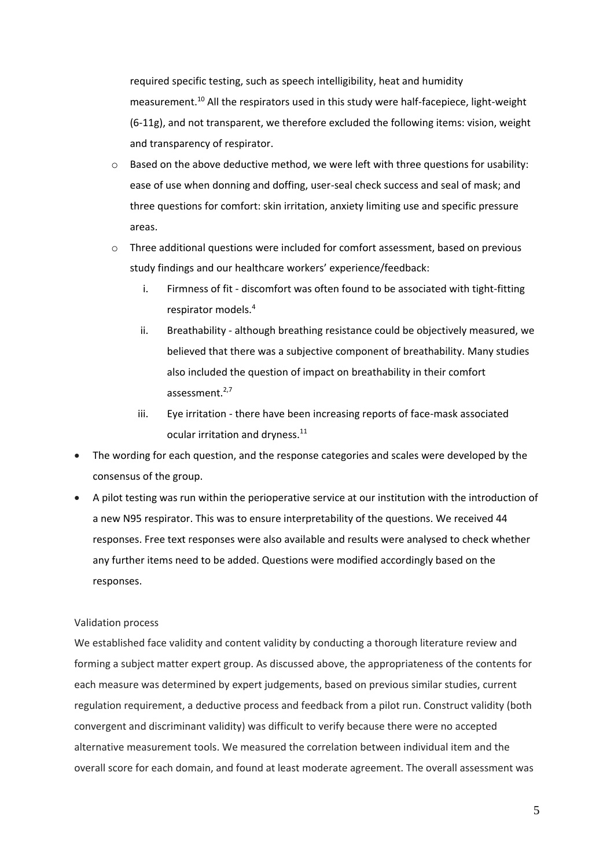required specific testing, such as speech intelligibility, heat and humidity measurement.<sup>10</sup> All the respirators used in this study were half-facepiece, light-weight (6-11g), and not transparent, we therefore excluded the following items: vision, weight and transparency of respirator.

- Based on the above deductive method, we were left with three questions for usability: ease of use when donning and doffing, user-seal check success and seal of mask; and three questions for comfort: skin irritation, anxiety limiting use and specific pressure areas.
- o Three additional questions were included for comfort assessment, based on previous study findings and our healthcare workers' experience/feedback:
	- i. Firmness of fit discomfort was often found to be associated with tight-fitting respirator models.<sup>4</sup>
	- ii. Breathability although breathing resistance could be objectively measured, we believed that there was a subjective component of breathability. Many studies also included the question of impact on breathability in their comfort assessment. $2,7$
	- iii. Eye irritation there have been increasing reports of face-mask associated ocular irritation and dryness.<sup>11</sup>
- The wording for each question, and the response categories and scales were developed by the consensus of the group.
- A pilot testing was run within the perioperative service at our institution with the introduction of a new N95 respirator. This was to ensure interpretability of the questions. We received 44 responses. Free text responses were also available and results were analysed to check whether any further items need to be added. Questions were modified accordingly based on the responses.

### Validation process

We established face validity and content validity by conducting a thorough literature review and forming a subject matter expert group. As discussed above, the appropriateness of the contents for each measure was determined by expert judgements, based on previous similar studies, current regulation requirement, a deductive process and feedback from a pilot run. Construct validity (both convergent and discriminant validity) was difficult to verify because there were no accepted alternative measurement tools. We measured the correlation between individual item and the overall score for each domain, and found at least moderate agreement. The overall assessment was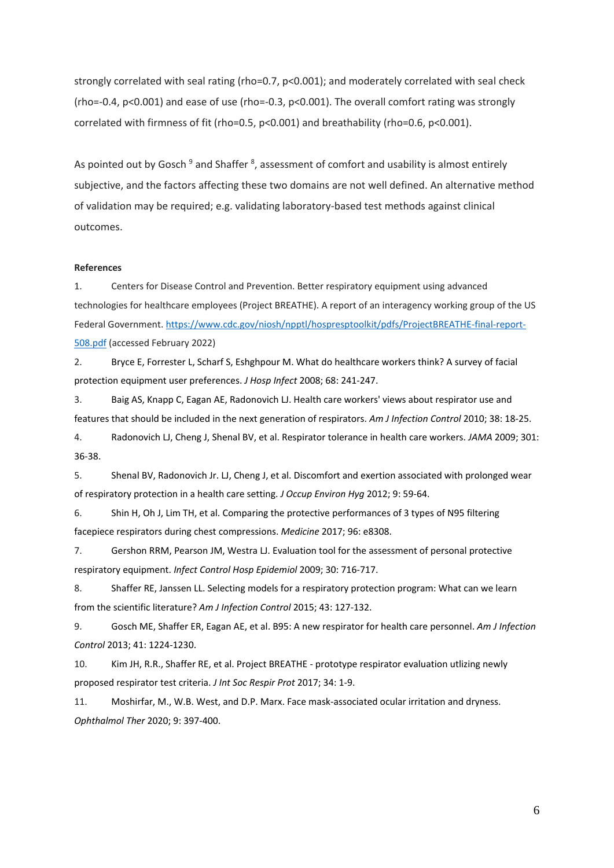strongly correlated with seal rating (rho=0.7, p<0.001); and moderately correlated with seal check (rho=-0.4, p<0.001) and ease of use (rho=-0.3, p<0.001). The overall comfort rating was strongly correlated with firmness of fit (rho=0.5, p<0.001) and breathability (rho=0.6, p<0.001).

As pointed out by Gosch <sup>9</sup> and Shaffer <sup>8</sup>, assessment of comfort and usability is almost entirely subjective, and the factors affecting these two domains are not well defined. An alternative method of validation may be required; e.g. validating laboratory-based test methods against clinical outcomes.

#### **References**

1. Centers for Disease Control and Prevention. Better respiratory equipment using advanced technologies for healthcare employees (Project BREATHE). A report of an interagency working group of the US Federal Government. [https://www.cdc.gov/niosh/npptl/hospresptoolkit/pdfs/ProjectBREATHE-final-report-](https://www.cdc.gov/niosh/npptl/hospresptoolkit/pdfs/ProjectBREATHE-final-report-508.pdf)[508.pdf](https://www.cdc.gov/niosh/npptl/hospresptoolkit/pdfs/ProjectBREATHE-final-report-508.pdf) (accessed February 2022)

2. Bryce E, Forrester L, Scharf S, Eshghpour M. What do healthcare workers think? A survey of facial protection equipment user preferences. *J Hosp Infect* 2008; 68: 241-247.

3. Baig AS, Knapp C, Eagan AE, Radonovich LJ. Health care workers' views about respirator use and features that should be included in the next generation of respirators. *Am J Infection Control* 2010; 38: 18-25.

4. Radonovich LJ, Cheng J, Shenal BV, et al. Respirator tolerance in health care workers. *JAMA* 2009; 301: 36-38.

5. Shenal BV, Radonovich Jr. LJ, Cheng J, et al. Discomfort and exertion associated with prolonged wear of respiratory protection in a health care setting. *J Occup Environ Hyg* 2012; 9: 59-64.

6. Shin H, Oh J, Lim TH, et al. Comparing the protective performances of 3 types of N95 filtering facepiece respirators during chest compressions. *Medicine* 2017; 96: e8308.

7. Gershon RRM, Pearson JM, Westra LJ. Evaluation tool for the assessment of personal protective respiratory equipment. *Infect Control Hosp Epidemiol* 2009; 30: 716-717.

8. Shaffer RE, Janssen LL. Selecting models for a respiratory protection program: What can we learn from the scientific literature? *Am J Infection Control* 2015; 43: 127-132.

9. Gosch ME, Shaffer ER, Eagan AE, et al. B95: A new respirator for health care personnel. *Am J Infection Control* 2013; 41: 1224-1230.

10. Kim JH, R.R., Shaffer RE, et al. Project BREATHE - prototype respirator evaluation utlizing newly proposed respirator test criteria. *J Int Soc Respir Prot* 2017; 34: 1-9.

11. Moshirfar, M., W.B. West, and D.P. Marx. Face mask-associated ocular irritation and dryness. *Ophthalmol Ther* 2020; 9: 397-400.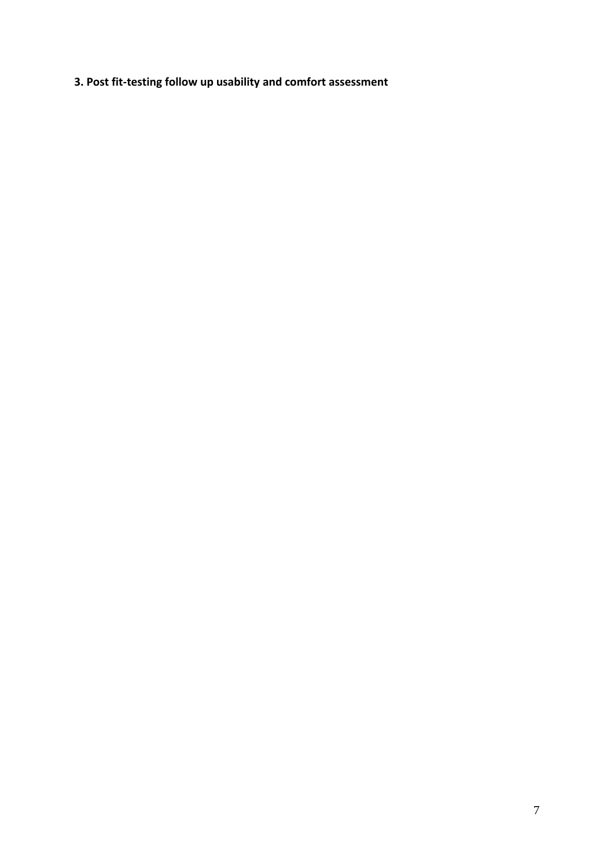**3. Post fit-testing follow up usability and comfort assessment**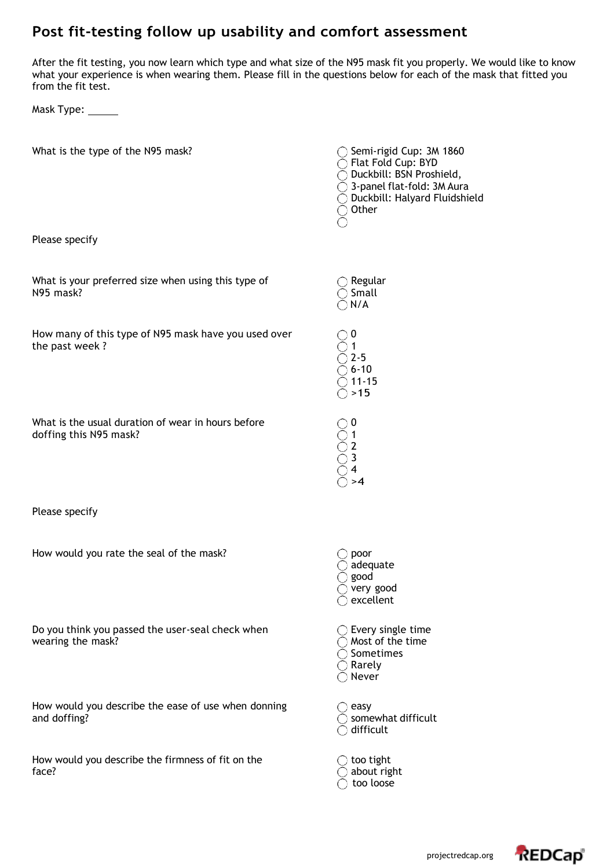# **Post fit-testing follow up usability and comfort assessment**

After the fit testing, you now learn which type and what size of the N95 mask fit you properly. We would like to know what your experience is when wearing them. Please fill in the questions below for each of the mask that fitted you from the fit test.

Mask Type: \_\_\_\_\_\_

| What is the type of the N95 mask?                                            | $\bigcirc$ Semi-rigid Cup: 3M 1860<br>◯ Flat Fold Cup: BYD<br>◯ Duckbill: BSN Proshield,<br>$\bigcirc$ 3-panel flat-fold: 3M Aura<br>$\bigcirc$ Duckbill: Halyard Fluidshield<br>◯ Other |
|------------------------------------------------------------------------------|------------------------------------------------------------------------------------------------------------------------------------------------------------------------------------------|
| Please specify                                                               |                                                                                                                                                                                          |
| What is your preferred size when using this type of<br>N95 mask?             | $\bigcirc$ Regular<br>$\bigcirc$ Small<br>$\bigcirc$ N/A                                                                                                                                 |
| How many of this type of N95 mask have you used over<br>the past week?       | $\bigcirc$ 0<br>$\mathbf{1}$<br>$2 - 5$<br>$\big) 6 - 10$<br>$\bigcirc$ 11-15<br>$\bigcirc$ >15                                                                                          |
| What is the usual duration of wear in hours before<br>doffing this N95 mask? | $\supset$ 0<br>$\bigcirc$ 1<br>$\overline{2}$<br>$\supset$ 3<br>$\bigcirc$ 4<br>$\supset$ >4                                                                                             |
| Please specify                                                               |                                                                                                                                                                                          |
| How would you rate the seal of the mask?                                     | poor<br>adequate<br>$\bigcirc$ good<br>$\bigcirc$ very good<br>excellent<br>∩                                                                                                            |
| Do you think you passed the user-seal check when<br>wearing the mask?        | $\bigcirc$ Every single time<br>$\bigcirc$ Most of the time<br>$\bigcirc$ Sometimes<br>$\bigcirc$ Rarely<br>$\bigcirc$ Never                                                             |
| How would you describe the ease of use when donning<br>and doffing?          | easy<br>somewhat difficult<br>difficult                                                                                                                                                  |
| How would you describe the firmness of fit on the<br>face?                   | too tight<br>$\bigcirc$ about right<br>too loose                                                                                                                                         |

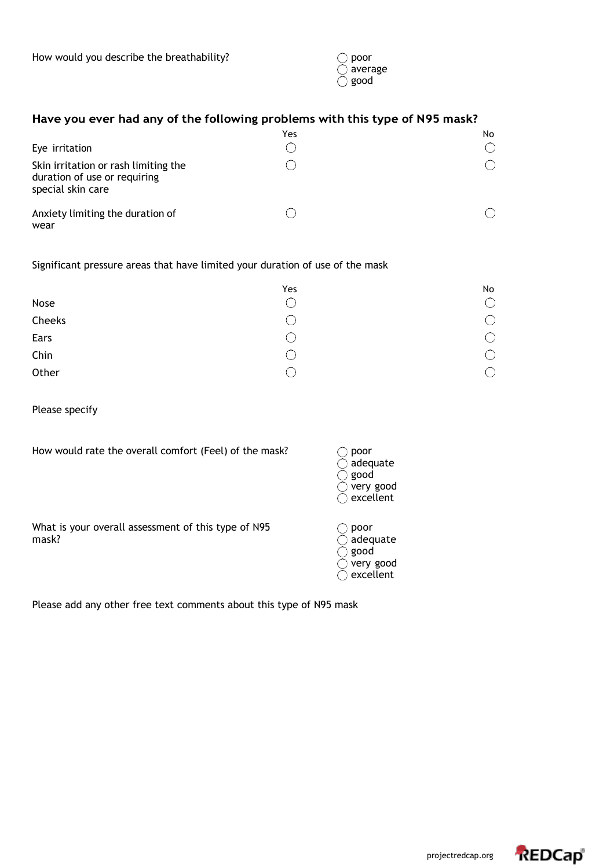| poor    |
|---------|
| average |
| good    |

## Have you ever had any of the following problems with this type of N95 mask?

|                                                                                           | Yes | No |
|-------------------------------------------------------------------------------------------|-----|----|
| Eye irritation                                                                            |     |    |
| Skin irritation or rash limiting the<br>duration of use or requiring<br>special skin care |     |    |
| Anxiety limiting the duration of<br>wear                                                  |     |    |

## Significant pressure areas that have limited your duration of use of the mask

|        | Yes                      | No |
|--------|--------------------------|----|
| Nose   |                          |    |
| Cheeks | $\overline{\phantom{a}}$ |    |
| Ears   | $\Box$                   |    |
| Chin   | $\Box$                   |    |
| Other  |                          |    |

Please specify

How would rate the overall comfort (Feel) of the mask?

| poor      |
|-----------|
| adequate  |
| good      |
| very good |
| excellent |
|           |

What is your overall assessment of this type of N95  $\bigcirc$  poor mask?

 $\supset$  adequate  $\bigcirc$  good  $\tilde{O}$  very good  $\tilde{)}$  excellent

Please add any other free text comments about this type of N95 mask